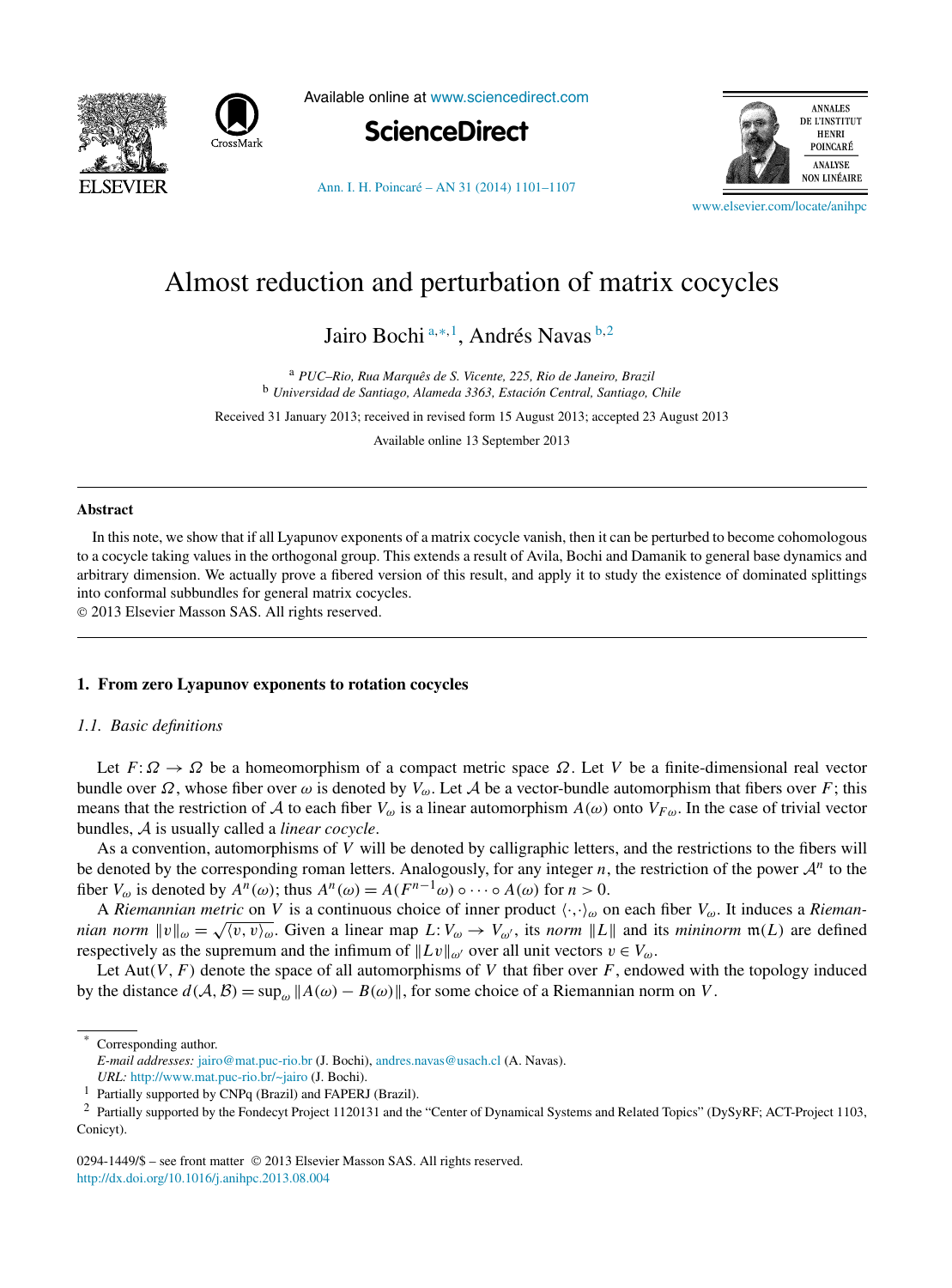



Available online at [www.sciencedirect.com](http://www.sciencedirect.com)



[Ann. I. H. Poincaré – AN 31 \(2014\) 1101–1107](http://dx.doi.org/10.1016/j.anihpc.2013.08.004)



[www.elsevier.com/locate/anihpc](http://www.elsevier.com/locate/anihpc)

# Almost reduction and perturbation of matrix cocycles

Jairo Bochi <sup>a</sup>*,*∗*,*<sup>1</sup> , Andrés Navas <sup>b</sup>*,*<sup>2</sup>

<sup>a</sup> *PUC–Rio, Rua Marquês de S. Vicente, 225, Rio de Janeiro, Brazil* <sup>b</sup> *Universidad de Santiago, Alameda 3363, Estación Central, Santiago, Chile*

Received 31 January 2013; received in revised form 15 August 2013; accepted 23 August 2013

Available online 13 September 2013

#### **Abstract**

In this note, we show that if all Lyapunov exponents of a matrix cocycle vanish, then it can be perturbed to become cohomologous to a cocycle taking values in the orthogonal group. This extends a result of Avila, Bochi and Damanik to general base dynamics and arbitrary dimension. We actually prove a fibered version of this result, and apply it to study the existence of dominated splittings into conformal subbundles for general matrix cocycles.

© 2013 Elsevier Masson SAS. All rights reserved.

#### **1. From zero Lyapunov exponents to rotation cocycles**

#### *1.1. Basic definitions*

Let  $F: \Omega \to \Omega$  be a homeomorphism of a compact metric space  $\Omega$ . Let *V* be a finite-dimensional real vector bundle over *Ω*, whose fiber over *ω* is denoted by  $V_\omega$ . Let *A* be a vector-bundle automorphism that fibers over *F*; this means that the restriction of A to each fiber  $V_\omega$  is a linear automorphism  $A(\omega)$  onto  $V_{F\omega}$ . In the case of trivial vector bundles, A is usually called a *linear cocycle*.

As a convention, automorphisms of *V* will be denoted by calligraphic letters, and the restrictions to the fibers will be denoted by the corresponding roman letters. Analogously, for any integer  $n$ , the restriction of the power  $\mathcal{A}^n$  to the fiber  $V_{\omega}$  is denoted by  $A^n(\omega)$ ; thus  $A^n(\omega) = A(F^{n-1}\omega) \circ \cdots \circ A(\omega)$  for  $n > 0$ .

A *Riemannian metric* on *V* is a continuous choice of inner product  $\langle \cdot, \cdot \rangle_{\omega}$  on each fiber  $V_{\omega}$ . It induces a *Riemannian norm*  $\|v\|_{\omega} = \sqrt{\langle v, v \rangle_{\omega}}$ . Given a linear map  $L: V_{\omega} \to V_{\omega'}$ , its *norm*  $\|L\|$  and its *mininorm*  $\mathfrak{m}(L)$  are defined respectively as the supremum and the infimum of  $||Lv||_{\omega}$  over all unit vectors  $v \in V_{\omega}$ .

Let  $Aut(V, F)$  denote the space of all automorphisms of V that fiber over F, endowed with the topology induced by the distance  $d(A, B) = \sup_{\omega} ||A(\omega) - B(\omega)||$ , for some choice of a Riemannian norm on *V*.

Corresponding author.

0294-1449/\$ – see front matter © 2013 Elsevier Masson SAS. All rights reserved. <http://dx.doi.org/10.1016/j.anihpc.2013.08.004>

*E-mail addresses:* [jairo@mat.puc-rio.br](mailto:jairo@mat.puc-rio.br) (J. Bochi), [andres.navas@usach.cl](mailto:andres.navas@usach.cl) (A. Navas).

*URL:* [http://www.mat.puc-rio.br/~jairo](http://www.mat.puc-rio.br/{~}jairo) (J. Bochi).

<sup>1</sup> Partially supported by CNPq (Brazil) and FAPERJ (Brazil).

<sup>&</sup>lt;sup>2</sup> Partially supported by the Fondecyt Project 1120131 and the "Center of Dynamical Systems and Related Topics" (DySyRF; ACT-Project 1103, Conicyt).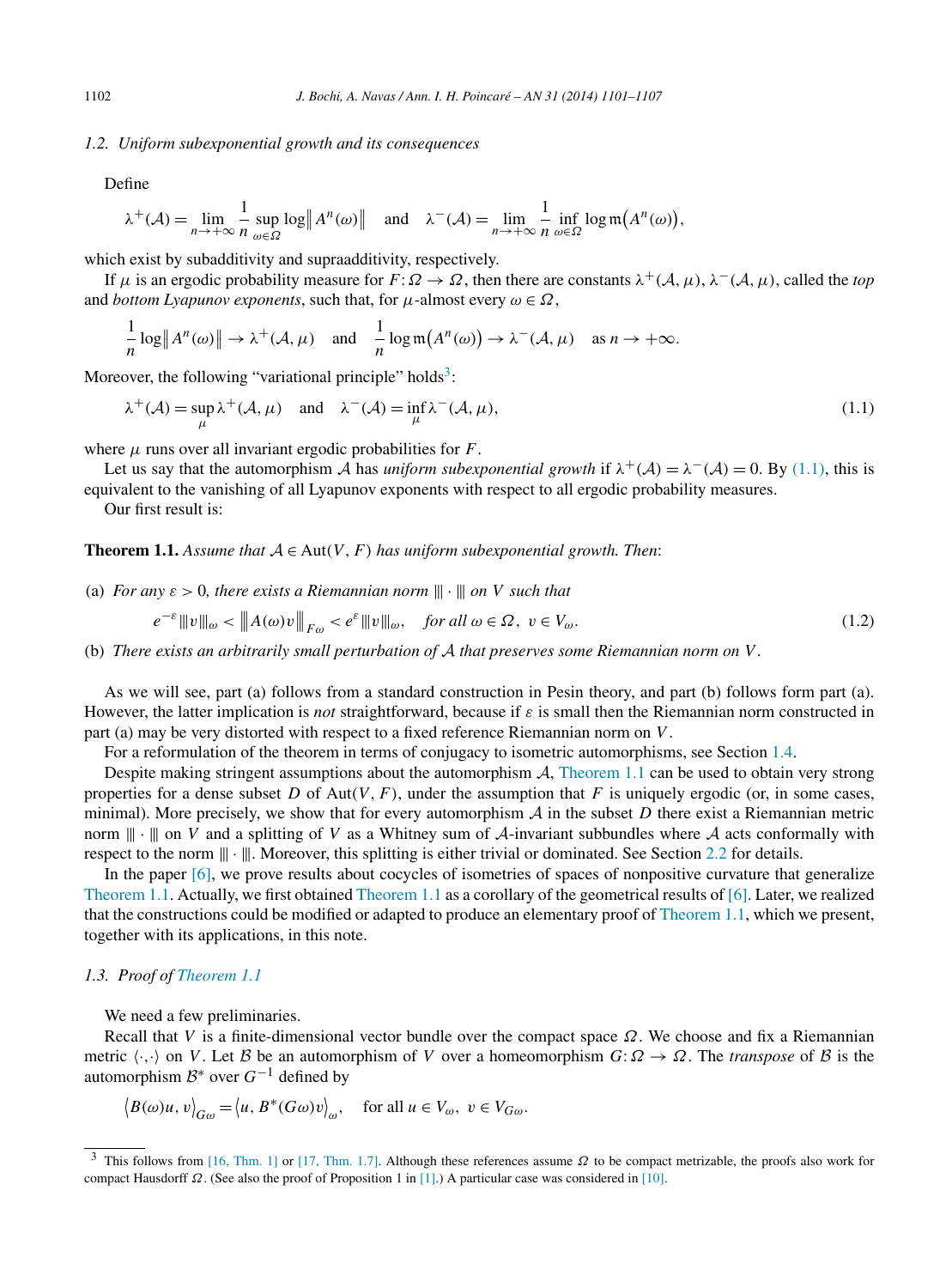#### <span id="page-1-0"></span>*1.2. Uniform subexponential growth and its consequences*

Define

$$
\lambda^+(\mathcal{A}) = \lim_{n \to +\infty} \frac{1}{n} \sup_{\omega \in \Omega} \log \left\| A^n(\omega) \right\| \quad \text{and} \quad \lambda^-(\mathcal{A}) = \lim_{n \to +\infty} \frac{1}{n} \inf_{\omega \in \Omega} \log \mathfrak{m}(A^n(\omega)),
$$

which exist by subadditivity and supraadditivity, respectively.

If *μ* is an ergodic probability measure for *F*: *Ω* → *Ω*, then there are constants *λ*+*(*A*,μ)*, *λ*−*(*A*,μ)*, called the *top* and *bottom Lyapunov exponents*, such that, for  $\mu$ -almost every  $\omega \in \Omega$ ,

$$
\frac{1}{n}\log ||A^n(\omega)|| \to \lambda^+(\mathcal{A}, \mu) \quad \text{and} \quad \frac{1}{n}\log m(A^n(\omega)) \to \lambda^-(\mathcal{A}, \mu) \quad \text{as } n \to +\infty.
$$

Moreover, the following "variational principle" holds<sup>3</sup>:

$$
\lambda^+(\mathcal{A}) = \sup_{\mu} \lambda^+(\mathcal{A}, \mu) \quad \text{and} \quad \lambda^-(\mathcal{A}) = \inf_{\mu} \lambda^-(\mathcal{A}, \mu), \tag{1.1}
$$

where  $\mu$  runs over all invariant ergodic probabilities for  $F$ .

Let us say that the automorphism A has *uniform subexponential growth* if  $\lambda^+(\mathcal{A}) = \lambda^-(\mathcal{A}) = 0$ . By (1.1), this is equivalent to the vanishing of all Lyapunov exponents with respect to all ergodic probability measures.

Our first result is:

**Theorem 1.1.** *Assume that*  $A \in Aut(V, F)$  *has uniform subexponential growth. Then:* 

(a) *For any*  $\varepsilon > 0$ *, there exists a Riemannian norm*  $\|\cdot\|$  *on V such that* 

$$
e^{-\varepsilon} \|\|v\|_{\omega} < \|\|A(\omega)v\|\|_{F\omega} < e^{\varepsilon} \|\|v\|\|_{\omega}, \quad \text{for all } \omega \in \Omega, \ v \in V_{\omega}.\tag{1.2}
$$

(b) *There exists an arbitrarily small perturbation of* A *that preserves some Riemannian norm on V .*

As we will see, part (a) follows from a standard construction in Pesin theory, and part (b) follows form part (a). However, the latter implication is *not* straightforward, because if *ε* is small then the Riemannian norm constructed in part (a) may be very distorted with respect to a fixed reference Riemannian norm on *V* .

For a reformulation of the theorem in terms of conjugacy to isometric automorphisms, see Section [1.4.](#page-3-0)

Despite making stringent assumptions about the automorphism  $A$ , Theorem 1.1 can be used to obtain very strong properties for a dense subset *D* of  $Aut(V, F)$ , under the assumption that *F* is uniquely ergodic (or, in some cases, minimal). More precisely, we show that for every automorphism  $A$  in the subset  $D$  there exist a Riemannian metric norm  $\|\cdot\|$  on *V* and a splitting of *V* as a Whitney sum of *A*-invariant subbundles where *A* acts conformally with respect to the norm  $\|\cdot\|$ . Moreover, this splitting is either trivial or dominated. See Section [2.2](#page-4-0) for details.

In the paper [\[6\],](#page-6-0) we prove results about cocycles of isometries of spaces of nonpositive curvature that generalize Theorem 1.1. Actually, we first obtained Theorem 1.1 as a corollary of the geometrical results of [\[6\].](#page-6-0) Later, we realized that the constructions could be modified or adapted to produce an elementary proof of Theorem 1.1, which we present, together with its applications, in this note.

## *1.3. Proof of Theorem 1.1*

We need a few preliminaries.

Recall that *V* is a finite-dimensional vector bundle over the compact space *Ω*. We choose and fix a Riemannian metric  $\langle \cdot, \cdot \rangle$  on *V*. Let B be an automorphism of *V* over a homeomorphism  $G: \Omega \to \Omega$ . The *transpose* of B is the automorphism  $\mathcal{B}^*$  over  $G^{-1}$  defined by

$$
\big\langle B(\omega)u, v \big\rangle_{G\omega} = \big\langle u, B^*(G\omega)v \big\rangle_{\omega}, \quad \text{for all } u \in V_{\omega}, v \in V_{G\omega}.
$$

<sup>3</sup> This follows from [\[16, Thm. 1\]](#page-6-0) or [\[17, Thm. 1.7\].](#page-6-0) Although these references assume *Ω* to be compact metrizable, the proofs also work for compact Hausdorff *Ω*. (See also the proof of Proposition 1 in [\[1\].](#page-6-0)) A particular case was considered in [\[10\].](#page-6-0)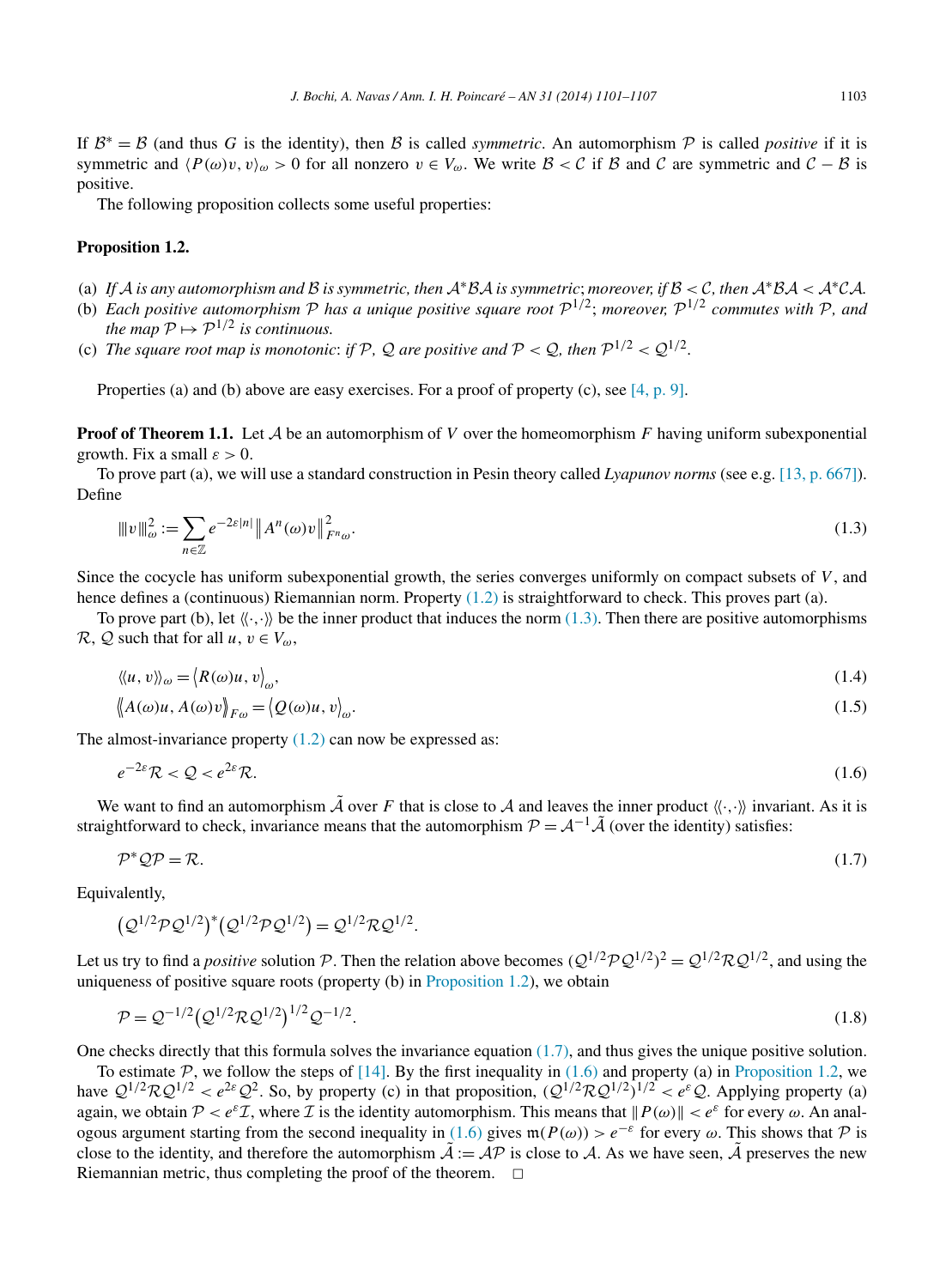<span id="page-2-0"></span>If  $B^* = B$  (and thus *G* is the identity), then *B* is called *symmetric*. An automorphism P is called *positive* if it is symmetric and  $\langle P(\omega)v, v \rangle_{\omega} > 0$  for all nonzero  $v \in V_{\omega}$ . We write  $\mathcal{B} < \mathcal{C}$  if  $\mathcal{B}$  and  $\mathcal{C}$  are symmetric and  $\mathcal{C} - \mathcal{B}$  is positive.

The following proposition collects some useful properties:

#### **Proposition 1.2.**

- (a) If A is any automorphism and B is symmetric, then  $A^*BA$  is symmetric; moreover, if  $B < C$ , then  $A^*BA < A^*CA$ .
- (b) *Each positive automorphism*  $P$  *has a unique positive square root*  $P^{1/2}$ ; *moreover*,  $P^{1/2}$  *commutes with*  $P$ *, and the map*  $P \mapsto P^{1/2}$  *is continuous.*
- (c) *The square root map is monotonic: if* P, Q *are positive and*  $P < Q$ , *then*  $P^{1/2} < Q^{1/2}$ .

Properties (a) and (b) above are easy exercises. For a proof of property (c), see [4, [p. 9\].](#page-6-0)

**Proof of Theorem 1.1.** Let A be an automorphism of *V* over the homeomorphism *F* having uniform subexponential growth. Fix a small  $\varepsilon > 0$ .

To prove part (a), we will use a standard construction in Pesin theory called *Lyapunov norms* (see e.g. [\[13, p. 667\]\)](#page-6-0). Define

$$
\|v\|_{\omega}^2 := \sum_{n \in \mathbb{Z}} e^{-2\varepsilon |n|} \|A^n(\omega)v\|_{F^n(\omega)}^2.
$$
\n(1.3)

Since the cocycle has uniform subexponential growth, the series converges uniformly on compact subsets of *V* , and hence defines a (continuous) Riemannian norm. Property [\(1.2\)](#page-1-0) is straightforward to check. This proves part (a).

To prove part (b), let  $\langle\langle\cdot,\cdot\rangle\rangle$  be the inner product that induces the norm (1.3). Then there are positive automorphisms  $\mathcal{R}, \mathcal{Q}$  such that for all  $u, v \in V_{\omega}$ ,

$$
\langle\langle u, v\rangle\rangle_{\omega} = \langle R(\omega)u, v\rangle_{\omega},\tag{1.4}
$$

$$
\langle A(\omega)u, A(\omega)v \rangle_{F\omega} = \langle Q(\omega)u, v \rangle_{\omega}.
$$
\n(1.5)

The almost-invariance property  $(1.2)$  can now be expressed as:

$$
e^{-2\varepsilon} \mathcal{R} < \mathcal{Q} < e^{2\varepsilon} \mathcal{R}.\tag{1.6}
$$

We want to find an automorphism  $\tilde{A}$  over *F* that is close to A and leaves the inner product  $\langle \langle \cdot, \cdot \rangle \rangle$  invariant. As it is straightforward to check, invariance means that the automorphism  $\mathcal{P} = \mathcal{A}^{-1}\tilde{\mathcal{A}}$  (over the identity) satisfies:

$$
\mathcal{P}^* \mathcal{Q} \mathcal{P} = \mathcal{R}.\tag{1.7}
$$

Equivalently,

$$
(Q^{1/2}PQ^{1/2})^*(Q^{1/2}PQ^{1/2}) = Q^{1/2}RQ^{1/2}.
$$

Let us try to find a *positive* solution P. Then the relation above becomes  $(Q^{1/2}PQ^{1/2})^2 = Q^{1/2}RQ^{1/2}$ , and using the uniqueness of positive square roots (property (b) in Proposition 1.2), we obtain

$$
\mathcal{P} = \mathcal{Q}^{-1/2} \left( \mathcal{Q}^{1/2} \mathcal{R} \mathcal{Q}^{1/2} \right)^{1/2} \mathcal{Q}^{-1/2}.
$$
\n(1.8)

One checks directly that this formula solves the invariance equation (1.7), and thus gives the unique positive solution.

To estimate  $P$ , we follow the steps of [\[14\].](#page-6-0) By the first inequality in (1.6) and property (a) in Proposition 1.2, we have  $Q^{1/2}RQ^{1/2} < e^{2\epsilon}Q^2$ . So, by property (c) in that proposition,  $(Q^{1/2}RQ^{1/2})^{1/2} < e^{\epsilon}Q$ . Applying property (a) again, we obtain  $\mathcal{P} < e^{\varepsilon} \mathcal{I}$ , where  $\mathcal{I}$  is the identity automorphism. This means that  $\|P(\omega)\| < e^{\varepsilon}$  for every  $\omega$ . An analogous argument starting from the second inequality in (1.6) gives  $m(P(\omega)) > e^{-\epsilon}$  for every  $\omega$ . This shows that P is close to the identity, and therefore the automorphism  $\mathcal{A} := \mathcal{AP}$  is close to  $\mathcal{A}$ . As we have seen,  $\mathcal{\bar{A}}$  preserves the new Riemannian metric, thus completing the proof of the theorem.  $\Box$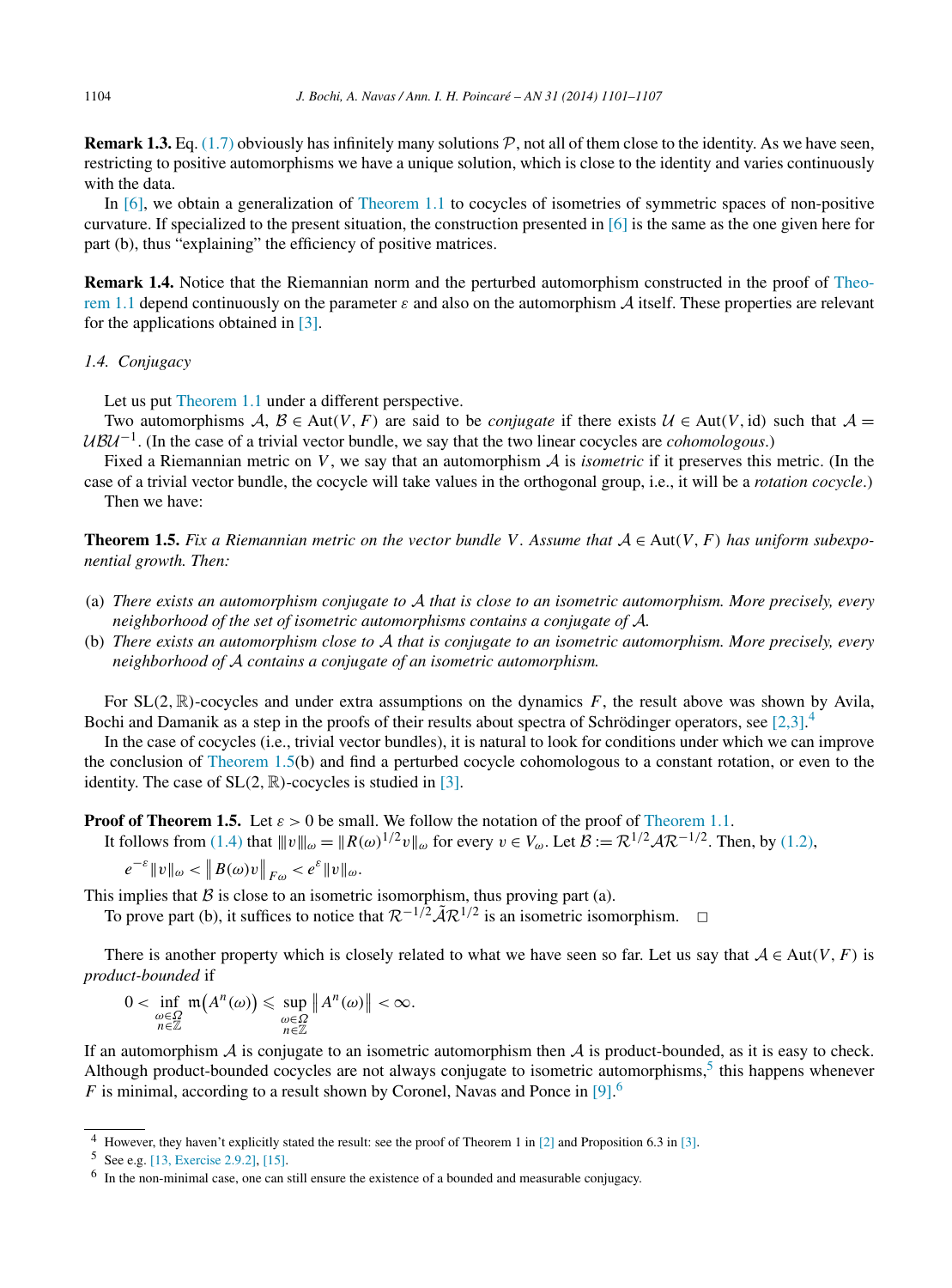<span id="page-3-0"></span>**Remark 1.3.** Eq. [\(1.7\)](#page-2-0) obviously has infinitely many solutions P, not all of them close to the identity. As we have seen, restricting to positive automorphisms we have a unique solution, which is close to the identity and varies continuously with the data.

In [\[6\],](#page-6-0) we obtain a generalization of [Theorem 1.1](#page-1-0) to cocycles of isometries of symmetric spaces of non-positive curvature. If specialized to the present situation, the construction presented in  $\lceil 6 \rceil$  is the same as the one given here for part (b), thus "explaining" the efficiency of positive matrices.

**Remark 1.4.** Notice that the Riemannian norm and the perturbed automorphism constructed in the proof of [Theo](#page-1-0)[rem 1.1](#page-1-0) depend continuously on the parameter *ε* and also on the automorphism A itself. These properties are relevant for the applications obtained in [\[3\].](#page-6-0)

## *1.4. Conjugacy*

Let us put [Theorem 1.1](#page-1-0) under a different perspective.

Two automorphisms  $A, B \in Aut(V, F)$  are said to be *conjugate* if there exists  $U \in Aut(V, id)$  such that  $A =$ UBU<sup>-1</sup>. (In the case of a trivial vector bundle, we say that the two linear cocycles are *cohomologous*.)

Fixed a Riemannian metric on *V*, we say that an automorphism A is *isometric* if it preserves this metric. (In the

case of a trivial vector bundle, the cocycle will take values in the orthogonal group, i.e., it will be a *rotation cocycle*.) Then we have:

**Theorem 1.5.** Fix a Riemannian metric on the vector bundle V. Assume that  $A \in Aut(V, F)$  has uniform subexpo*nential growth. Then:*

- (a) *There exists an automorphism conjugate to* A *that is close to an isometric automorphism. More precisely, every neighborhood of the set of isometric automorphisms contains a conjugate of* A*.*
- (b) *There exists an automorphism close to* A *that is conjugate to an isometric automorphism. More precisely, every neighborhood of* A *contains a conjugate of an isometric automorphism.*

For  $SL(2, \mathbb{R})$ -cocycles and under extra assumptions on the dynamics *F*, the result above was shown by Avila, Bochi and Damanik as a step in the proofs of their results about spectra of Schrödinger operators, see [\[2,3\].](#page-6-0)<sup>4</sup>

In the case of cocycles (i.e., trivial vector bundles), it is natural to look for conditions under which we can improve the conclusion of Theorem 1.5(b) and find a perturbed cocycle cohomologous to a constant rotation, or even to the identity. The case of  $SL(2, \mathbb{R})$ -cocycles is studied in [\[3\].](#page-6-0)

**Proof of Theorem 1.5.** Let  $\varepsilon > 0$  be small. We follow the notation of the proof of [Theorem 1.1.](#page-1-0)

It follows from [\(1.4\)](#page-2-0) that  $||v||_{\omega} = ||R(\omega)^{1/2}v||_{\omega}$  for every  $v \in V_{\omega}$ . Let  $\mathcal{B} := \mathcal{R}^{1/2} \mathcal{A} \mathcal{R}^{-1/2}$ . Then, by [\(1.2\),](#page-1-0)

$$
e^{-\varepsilon}||v||_{\omega} < ||B(\omega)v||_{F\omega} < e^{\varepsilon}||v||_{\omega}.
$$

This implies that  $B$  is close to an isometric isomorphism, thus proving part (a).

To prove part (b), it suffices to notice that  $\mathcal{R}^{-1/2} \tilde{\mathcal{A}} \mathcal{R}^{1/2}$  is an isometric isomorphism.  $\Box$ 

There is another property which is closely related to what we have seen so far. Let us say that  $A \in Aut(V, F)$  is *product-bounded* if

$$
0 < \inf_{\substack{\omega \in \Omega \\ n \in \mathbb{Z}}} \mathfrak{m}\big(A^n(\omega)\big) \leqslant \sup_{\substack{\omega \in \Omega \\ n \in \mathbb{Z}}} \left\| A^n(\omega) \right\| < \infty.
$$

If an automorphism  $\hat{A}$  is conjugate to an isometric automorphism then  $\hat{A}$  is product-bounded, as it is easy to check. Although product-bounded cocycles are not always conjugate to isometric automorphisms,<sup>5</sup> this happens whenever  $F$  is minimal, according to a result shown by Coronel, Navas and Ponce in  $[9]$ .<sup>6</sup>

<sup>4</sup> However, they haven't explicitly stated the result: see the proof of Theorem 1 in [\[2\]](#page-6-0) and Proposition 6.3 in [\[3\].](#page-6-0)

<sup>5</sup> See e.g. [\[13, Exercise 2.9.2\],](#page-6-0) [\[15\].](#page-6-0)

 $6\;$  In the non-minimal case, one can still ensure the existence of a bounded and measurable conjugacy.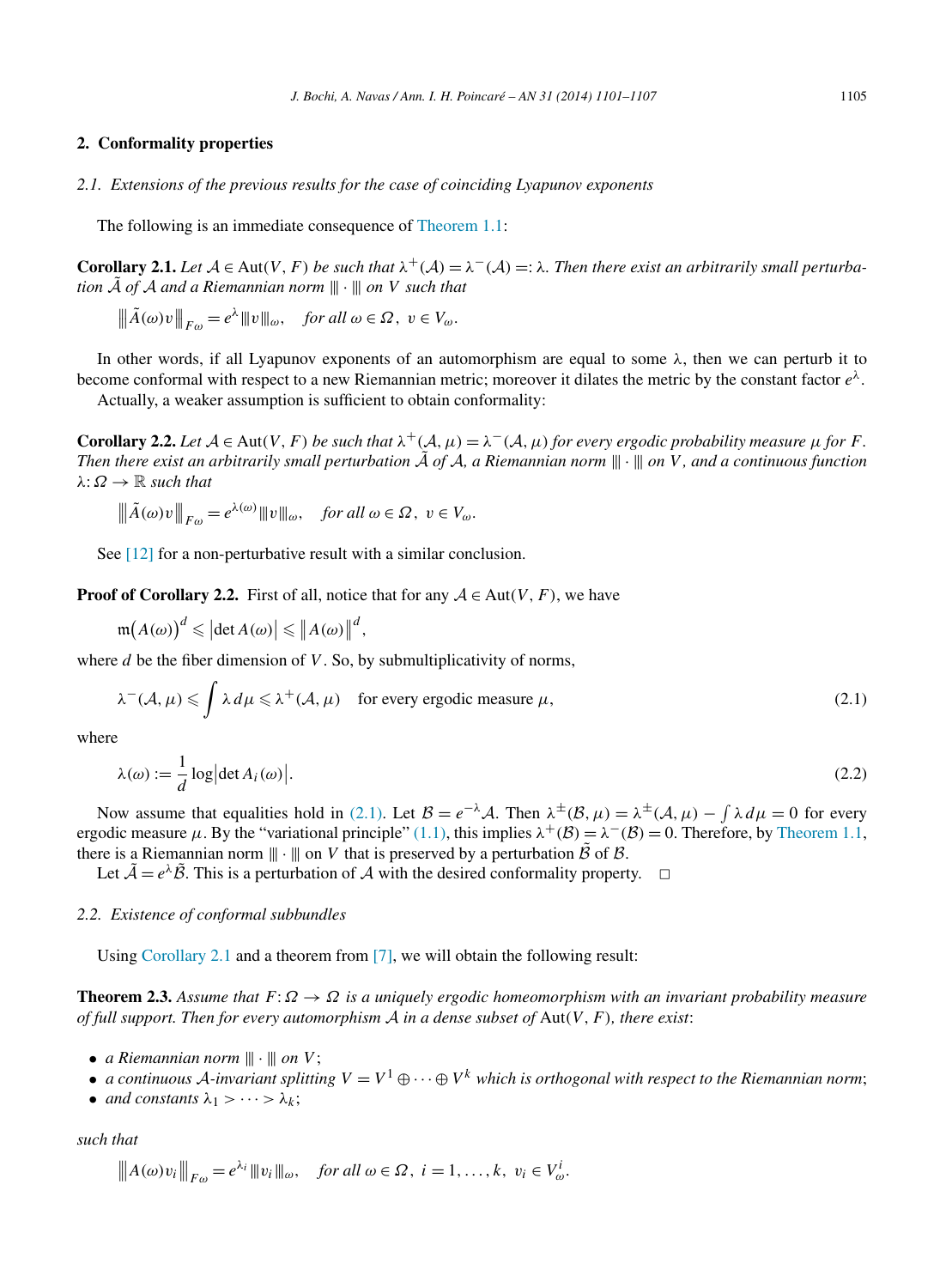## <span id="page-4-0"></span>**2. Conformality properties**

*2.1. Extensions of the previous results for the case of coinciding Lyapunov exponents*

The following is an immediate consequence of [Theorem 1.1:](#page-1-0)

**Corollary 2.1.** Let  $A \in Aut(V, F)$  be such that  $\lambda^+(A) = \lambda^-(A) =: \lambda$ . Then there exist an arbitrarily small perturba*tion*  $\tilde{A}$  *of*  $A$  *and a Riemannian norm*  $\|\cdot\|$  *on V such that* 

$$
\|\tilde{A}(\omega)v\|_{F\omega} = e^{\lambda} \|v\|_{\omega}, \quad \text{for all } \omega \in \Omega, \ v \in V_{\omega}.
$$

In other words, if all Lyapunov exponents of an automorphism are equal to some *λ*, then we can perturb it to become conformal with respect to a new Riemannian metric; moreover it dilates the metric by the constant factor *eλ*.

Actually, a weaker assumption is sufficient to obtain conformality:

**Corollary 2.2.** Let  $A \in Aut(V, F)$  be such that  $\lambda^+(A, \mu) = \lambda^-(A, \mu)$  for every ergodic probability measure  $\mu$  for *F*. *Then there exist an arbitrarily small perturbation*  $\tilde{A}$  *of*  $A$ *, a Riemannian norm*  $\|\cdot\|$  *on*  $V$ *, and a continuous function*  $λ: Ω \rightarrow \mathbb{R}$  *such that* 

$$
\|\tilde{A}(\omega)v\|_{F\omega} = e^{\lambda(\omega)} \|v\|_{\omega}, \quad \text{for all } \omega \in \Omega, \ v \in V_{\omega}.
$$

See [\[12\]](#page-6-0) for a non-perturbative result with a similar conclusion.

**Proof of Corollary 2.2.** First of all, notice that for any  $A \in Aut(V, F)$ , we have

 $\mathfrak{m}(A(\omega))^d \leq \left|\det A(\omega)\right| \leq \left\|A(\omega)\right\|^d,$ 

where *d* be the fiber dimension of *V*. So, by submultiplicativity of norms,

$$
\lambda^{-}(A,\mu) \leq \int \lambda \, d\mu \leq \lambda^{+}(A,\mu) \quad \text{for every ergodic measure } \mu,
$$
\n(2.1)

where

$$
\lambda(\omega) := \frac{1}{d} \log \left| \det A_i(\omega) \right|.
$$
\n(2.2)

Now assume that equalities hold in (2.1). Let  $B = e^{-\lambda}A$ . Then  $\lambda^{\pm}(B, \mu) = \lambda^{\pm}(A, \mu) - \int \lambda d\mu = 0$  for every ergodic measure  $\mu$ . By the "variational principle" [\(1.1\),](#page-1-0) this implies  $\lambda^+(\mathcal{B}) = \lambda^-(\mathcal{B}) = 0$ . Therefore, by [Theorem 1.1,](#page-1-0) there is a Riemannian norm  $\| \cdot \|$  on *V* that is preserved by a perturbation  $\tilde{\mathcal{B}}$  of  $\mathcal{B}$ .

Let  $\tilde{\mathcal{A}} = e^{\lambda} \tilde{\mathcal{B}}$ . This is a perturbation of  $\mathcal{A}$  with the desired conformality property.  $\Box$ 

## *2.2. Existence of conformal subbundles*

Using Corollary 2.1 and a theorem from [\[7\],](#page-6-0) we will obtain the following result:

**Theorem 2.3.** *Assume that*  $F: \Omega \to \Omega$  *is a uniquely ergodic homeomorphism with an invariant probability measure of full support. Then for every automorphism* A *in a dense subset of* Aut*(V,F), there exist*:

- *a Riemannian norm*  $\|\cdot\|$  *on V*;
- *a continuous* A-invariant splitting  $V = V^1 \oplus \cdots \oplus V^k$  which is orthogonal with respect to the Riemannian norm;
- *and constants*  $\lambda_1$  > ··· >  $\lambda_k$ ;

*such that*

$$
\|A(\omega)v_i\|_{F\omega}=e^{\lambda_i}\|v_i\|_{\omega}, \quad \text{for all } \omega \in \Omega, \ i=1,\ldots,k, \ v_i \in V^i_{\omega}.
$$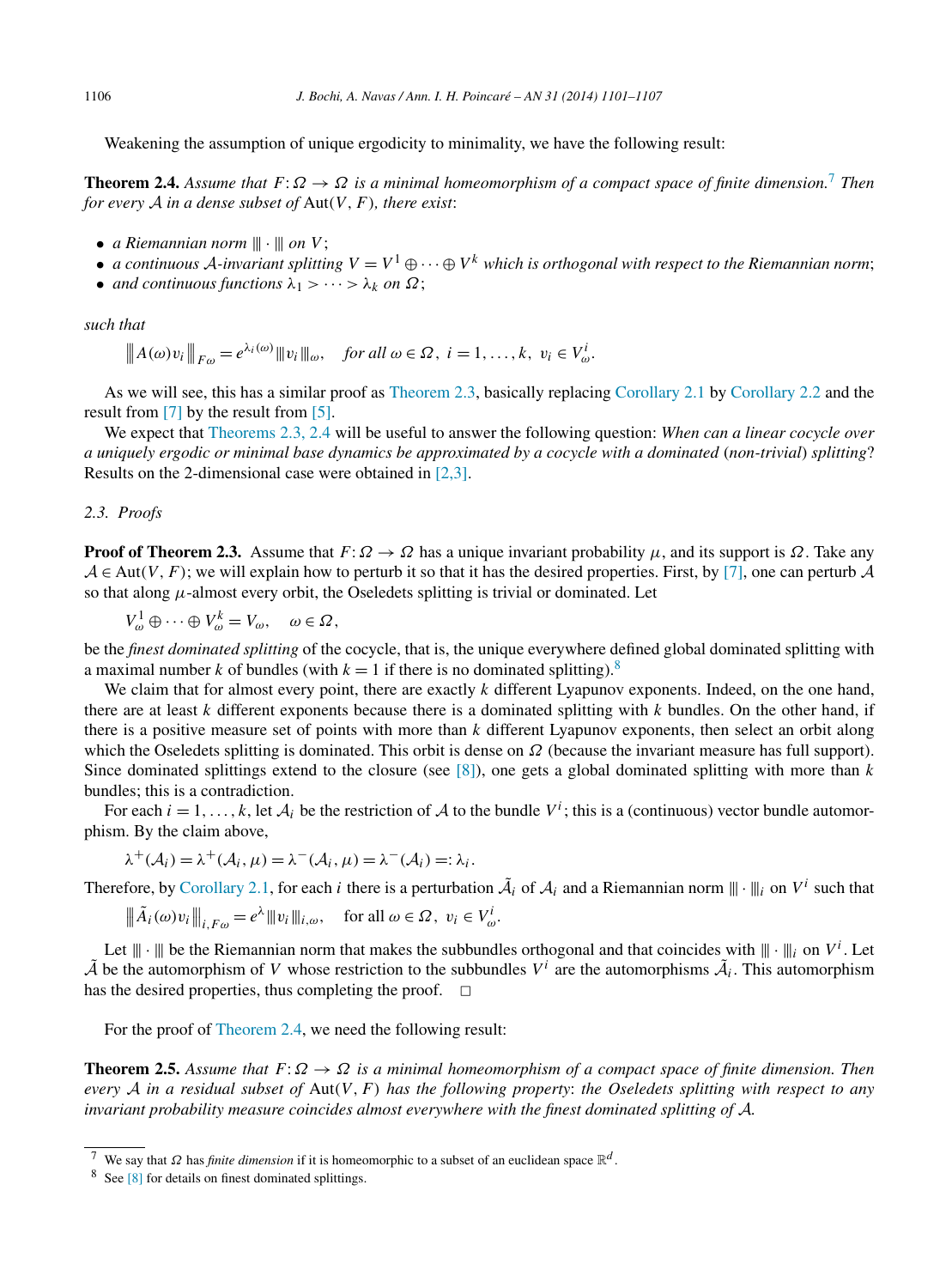<span id="page-5-0"></span>Weakening the assumption of unique ergodicity to minimality, we have the following result:

**Theorem 2.4.** *Assume that*  $F: \Omega \to \Omega$  *is a minimal homeomorphism of a compact space of finite dimension.*<sup>7</sup> *Then for every* A *in a dense subset of* Aut*(V,F), there exist*:

- *a Riemannian norm*  $\|\cdot\|$  *on V*;
- *a continuous* A-invariant splitting  $V = V^1 \oplus \cdots \oplus V^k$  which is orthogonal with respect to the Riemannian norm;
- *and continuous functions*  $\lambda_1$  > ··· >  $\lambda_k$  *on*  $\Omega$ ;

*such that*

$$
\|A(\omega)v_i\|_{F\omega}=e^{\lambda_i(\omega)}\|v_i\|_{\omega}, \quad \text{for all } \omega \in \Omega, \ i=1,\ldots,k, \ v_i \in V^i_{\omega}.
$$

As we will see, this has a similar proof as [Theorem](#page-4-0) 2.3, basically replacing [Corollary 2.1](#page-4-0) by [Corollary 2.2](#page-4-0) and the result from [\[7\]](#page-6-0) by the result from [\[5\].](#page-6-0)

We expect that [Theorems](#page-4-0) 2.3, 2.4 will be useful to answer the following question: *When can a linear cocycle over a uniquely ergodic or minimal base dynamics be approximated by a cocycle with a dominated* (*non-trivial*) *splitting*? Results on the 2-dimensional case were obtained in [\[2,3\].](#page-6-0)

# *2.3. Proofs*

**Proof of Theorem 2.3.** Assume that  $F: \Omega \to \Omega$  has a unique invariant probability  $\mu$ , and its support is  $\Omega$ . Take any  $A \in Aut(V, F)$ ; we will explain how to perturb it so that it has the desired properties. First, by [\[7\],](#page-6-0) one can perturb A so that along  $\mu$ -almost every orbit, the Oseledets splitting is trivial or dominated. Let

$$
V_{\omega}^{1} \oplus \cdots \oplus V_{\omega}^{k} = V_{\omega}, \quad \omega \in \Omega,
$$

be the *finest dominated splitting* of the cocycle, that is, the unique everywhere defined global dominated splitting with a maximal number *k* of bundles (with  $k = 1$  if there is no dominated splitting).<sup>8</sup>

We claim that for almost every point, there are exactly *k* different Lyapunov exponents. Indeed, on the one hand, there are at least *k* different exponents because there is a dominated splitting with *k* bundles. On the other hand, if there is a positive measure set of points with more than *k* different Lyapunov exponents, then select an orbit along which the Oseledets splitting is dominated. This orbit is dense on *Ω* (because the invariant measure has full support). Since dominated splittings extend to the closure (see [\[8\]\)](#page-6-0), one gets a global dominated splitting with more than *k* bundles; this is a contradiction.

For each  $i = 1, ..., k$ , let  $A_i$  be the restriction of A to the bundle  $V^i$ ; this is a (continuous) vector bundle automorphism. By the claim above,

$$
\lambda^+(\mathcal{A}_i) = \lambda^+(\mathcal{A}_i, \mu) = \lambda^-(\mathcal{A}_i, \mu) = \lambda^-(\mathcal{A}_i) =: \lambda_i.
$$

Therefore, by [Corollary](#page-4-0) 2.1, for each *i* there is a perturbation  $\tilde{A}_i$  of  $A_i$  and a Riemannian norm  $\|\cdot\|_i$  on  $V^i$  such that

$$
\|\tilde{A}_i(\omega)v_i\|_{i, F\omega} = e^{\lambda} \|v_i\|_{i, \omega}, \quad \text{for all } \omega \in \Omega, \ v_i \in V^i_{\omega}.
$$

Let  $\|\cdot\|$  be the Riemannian norm that makes the subbundles orthogonal and that coincides with  $\|\cdot\|_i$  on  $V^i$ . Let  $\tilde{\mathcal{A}}$  be the automorphism of *V* whose restriction to the subbundles  $V^i$  are the automorphisms  $\tilde{\mathcal{A}}_i$ . This automorphism has the desired properties, thus completing the proof.  $\Box$ 

For the proof of Theorem 2.4, we need the following result:

**Theorem 2.5.** *Assume that*  $F: \Omega \to \Omega$  *is a minimal homeomorphism of a compact space of finite dimension. Then every* A *in a residual subset of* Aut*(V,F) has the following property*: *the Oseledets splitting with respect to any invariant probability measure coincides almost everywhere with the finest dominated splitting of* A*.*

We say that *Ω* has *finite dimension* if it is homeomorphic to a subset of an euclidean space  $\mathbb{R}^d$ .

<sup>8</sup> See [\[8\]](#page-6-0) for details on finest dominated splittings.